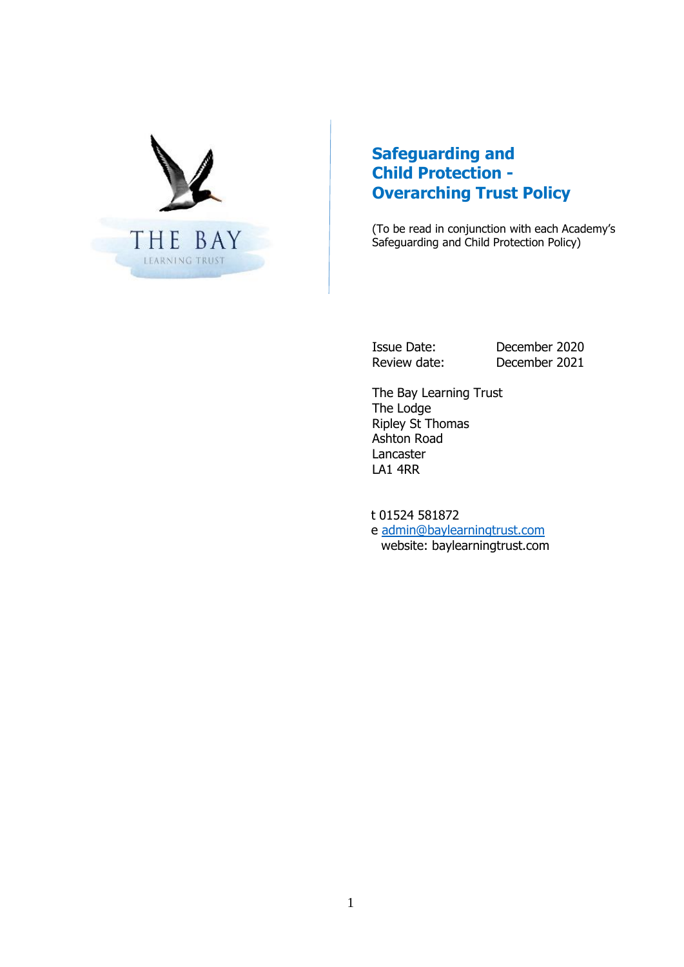

# **Safeguarding and Child Protection - Overarching Trust Policy**

(To be read in conjunction with each Academy's Safeguarding and Child Protection Policy)

Issue Date: December 2020 Review date: December 2021

The Bay Learning Trust The Lodge Ripley St Thomas Ashton Road Lancaster LA1 4RR

 t 01524 581872 e [admin@baylearningtrust.com](mailto:admin@baylearningtrust.com) website: baylearningtrust.com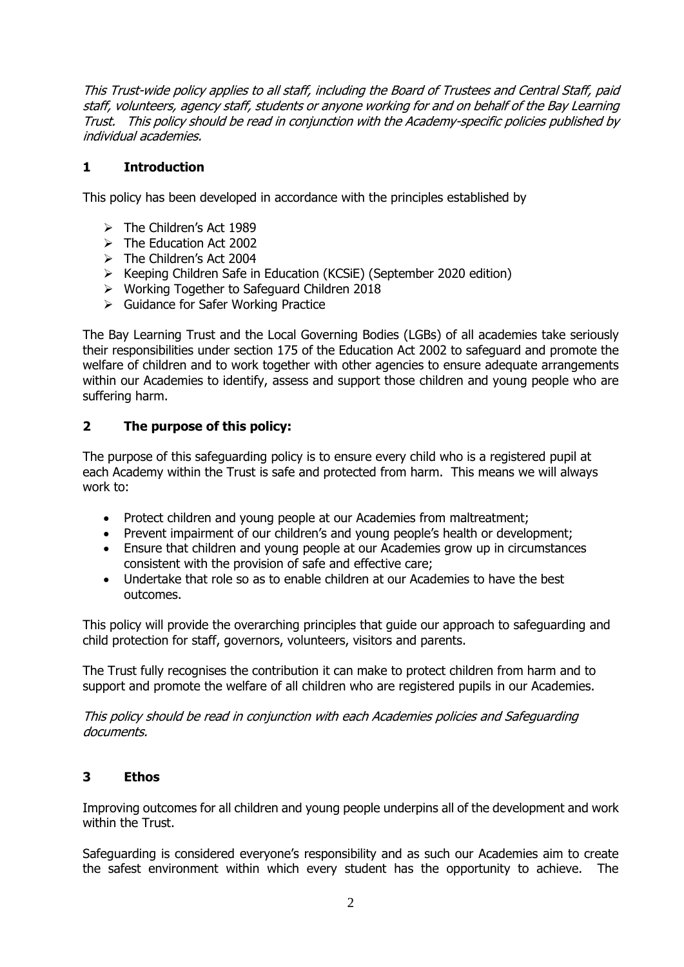This Trust-wide policy applies to all staff, including the Board of Trustees and Central Staff, paid staff, volunteers, agency staff, students or anyone working for and on behalf of the Bay Learning Trust. This policy should be read in conjunction with the Academy-specific policies published by individual academies.

## **1 Introduction**

This policy has been developed in accordance with the principles established by

- $\triangleright$  The Children's Act 1989
- $\triangleright$  The Education Act 2002
- > The Children's Act 2004
- $\triangleright$  Keeping Children Safe in Education (KCSiE) (September 2020 edition)
- Working Together to Safeguard Children 2018
- Guidance for Safer Working Practice

The Bay Learning Trust and the Local Governing Bodies (LGBs) of all academies take seriously their responsibilities under section 175 of the Education Act 2002 to safeguard and promote the welfare of children and to work together with other agencies to ensure adequate arrangements within our Academies to identify, assess and support those children and young people who are suffering harm.

## **2 The purpose of this policy:**

The purpose of this safeguarding policy is to ensure every child who is a registered pupil at each Academy within the Trust is safe and protected from harm. This means we will always work to:

- Protect children and young people at our Academies from maltreatment;
- Prevent impairment of our children's and young people's health or development;
- Ensure that children and young people at our Academies grow up in circumstances consistent with the provision of safe and effective care;
- Undertake that role so as to enable children at our Academies to have the best outcomes.

This policy will provide the overarching principles that guide our approach to safeguarding and child protection for staff, governors, volunteers, visitors and parents.

The Trust fully recognises the contribution it can make to protect children from harm and to support and promote the welfare of all children who are registered pupils in our Academies.

This policy should be read in conjunction with each Academies policies and Safeguarding documents.

#### **3 Ethos**

Improving outcomes for all children and young people underpins all of the development and work within the Trust.

Safeguarding is considered everyone's responsibility and as such our Academies aim to create the safest environment within which every student has the opportunity to achieve. The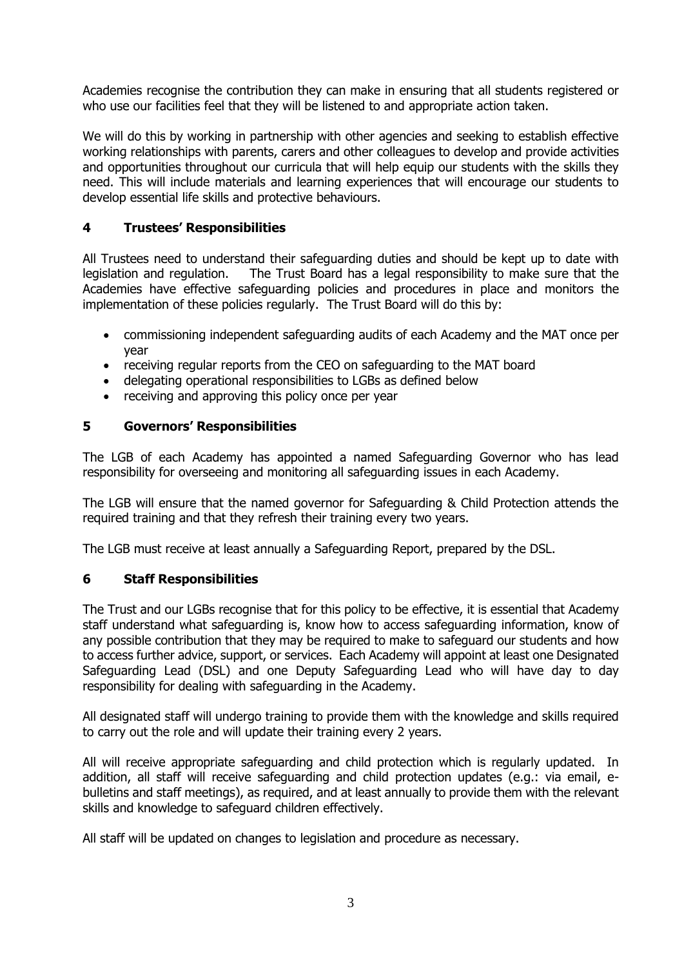Academies recognise the contribution they can make in ensuring that all students registered or who use our facilities feel that they will be listened to and appropriate action taken.

We will do this by working in partnership with other agencies and seeking to establish effective working relationships with parents, carers and other colleagues to develop and provide activities and opportunities throughout our curricula that will help equip our students with the skills they need. This will include materials and learning experiences that will encourage our students to develop essential life skills and protective behaviours.

## **4 Trustees' Responsibilities**

All Trustees need to understand their safeguarding duties and should be kept up to date with legislation and regulation. The Trust Board has a legal responsibility to make sure that the Academies have effective safeguarding policies and procedures in place and monitors the implementation of these policies regularly. The Trust Board will do this by:

- commissioning independent safeguarding audits of each Academy and the MAT once per year
- receiving regular reports from the CEO on safeguarding to the MAT board
- delegating operational responsibilities to LGBs as defined below
- receiving and approving this policy once per year

#### **5 Governors' Responsibilities**

The LGB of each Academy has appointed a named Safeguarding Governor who has lead responsibility for overseeing and monitoring all safeguarding issues in each Academy.

The LGB will ensure that the named governor for Safeguarding & Child Protection attends the required training and that they refresh their training every two years.

The LGB must receive at least annually a Safeguarding Report, prepared by the DSL.

#### **6 Staff Responsibilities**

The Trust and our LGBs recognise that for this policy to be effective, it is essential that Academy staff understand what safeguarding is, know how to access safeguarding information, know of any possible contribution that they may be required to make to safeguard our students and how to access further advice, support, or services. Each Academy will appoint at least one Designated Safeguarding Lead (DSL) and one Deputy Safeguarding Lead who will have day to day responsibility for dealing with safeguarding in the Academy.

All designated staff will undergo training to provide them with the knowledge and skills required to carry out the role and will update their training every 2 years.

All will receive appropriate safeguarding and child protection which is regularly updated. In addition, all staff will receive safeguarding and child protection updates (e.g.: via email, ebulletins and staff meetings), as required, and at least annually to provide them with the relevant skills and knowledge to safeguard children effectively.

All staff will be updated on changes to legislation and procedure as necessary.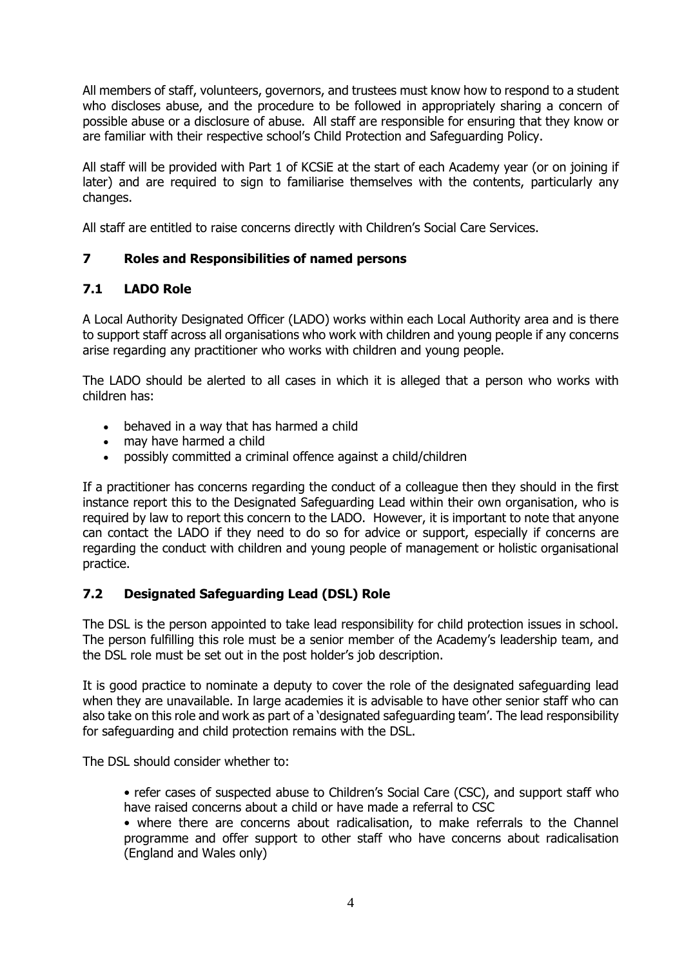All members of staff, volunteers, governors, and trustees must know how to respond to a student who discloses abuse, and the procedure to be followed in appropriately sharing a concern of possible abuse or a disclosure of abuse. All staff are responsible for ensuring that they know or are familiar with their respective school's Child Protection and Safeguarding Policy.

All staff will be provided with Part 1 of KCSiE at the start of each Academy year (or on joining if later) and are required to sign to familiarise themselves with the contents, particularly any changes.

All staff are entitled to raise concerns directly with Children's Social Care Services.

#### **7 Roles and Responsibilities of named persons**

## **7.1 LADO Role**

A Local Authority Designated Officer (LADO) works within each Local Authority area and is there to support staff across all organisations who work with children and young people if any concerns arise regarding any practitioner who works with children and young people.

The LADO should be alerted to all cases in which it is alleged that a person who works with children has:

- behaved in a way that has harmed a child
- may have harmed a child
- possibly committed a criminal offence against a child/children

If a practitioner has concerns regarding the conduct of a colleague then they should in the first instance report this to the Designated Safeguarding Lead within their own organisation, who is required by law to report this concern to the LADO. However, it is important to note that anyone can contact the LADO if they need to do so for advice or support, especially if concerns are regarding the conduct with children and young people of management or holistic organisational practice.

#### **7.2 Designated Safeguarding Lead (DSL) Role**

The DSL is the person appointed to take lead responsibility for child protection issues in school. The person fulfilling this role must be a senior member of the Academy's leadership team, and the DSL role must be set out in the post holder's job description.

It is good practice to nominate a deputy to cover the role of the designated safeguarding lead when they are unavailable. In large academies it is advisable to have other senior staff who can also take on this role and work as part of a 'designated safeguarding team'. The lead responsibility for safeguarding and child protection remains with the DSL.

The DSL should consider whether to:

• refer cases of suspected abuse to Children's Social Care (CSC), and support staff who have raised concerns about a child or have made a referral to CSC

• where there are concerns about radicalisation, to make referrals to the Channel programme and offer support to other staff who have concerns about radicalisation (England and Wales only)